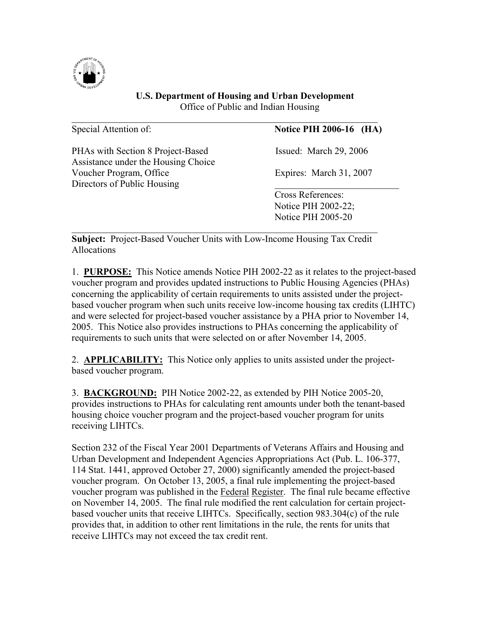

## **U.S. Department of Housing and Urban Development** Office of Public and Indian Housing

| Special Attention of:                                                    | <b>Notice PIH 2006-16 (HA)</b> |
|--------------------------------------------------------------------------|--------------------------------|
| PHAs with Section 8 Project-Based<br>Assistance under the Housing Choice | Issued: March 29, 2006         |
| Voucher Program, Office<br>Directors of Public Housing                   | Expires: March 31, 2007        |
|                                                                          | <b>Cross References:</b>       |
|                                                                          | Notice PIH 2002-22;            |
|                                                                          | <b>Notice PIH 2005-20</b>      |
|                                                                          |                                |

 $\mathcal{L}_\mathcal{L}$  , and the contribution of the contribution of the contribution of the contribution of the contribution of the contribution of the contribution of the contribution of the contribution of the contribution of

**Subject:** Project-Based Voucher Units with Low-Income Housing Tax Credit Allocations

1. **PURPOSE:** This Notice amends Notice PIH 2002-22 as it relates to the project-based voucher program and provides updated instructions to Public Housing Agencies (PHAs) concerning the applicability of certain requirements to units assisted under the projectbased voucher program when such units receive low-income housing tax credits (LIHTC) and were selected for project-based voucher assistance by a PHA prior to November 14, 2005. This Notice also provides instructions to PHAs concerning the applicability of requirements to such units that were selected on or after November 14, 2005.

2. **APPLICABILITY:** This Notice only applies to units assisted under the projectbased voucher program.

3. **BACKGROUND:** PIH Notice 2002-22, as extended by PIH Notice 2005-20, provides instructions to PHAs for calculating rent amounts under both the tenant-based housing choice voucher program and the project-based voucher program for units receiving LIHTCs.

Section 232 of the Fiscal Year 2001 Departments of Veterans Affairs and Housing and Urban Development and Independent Agencies Appropriations Act (Pub. L. 106-377, 114 Stat. 1441, approved October 27, 2000) significantly amended the project-based voucher program. On October 13, 2005, a final rule implementing the project-based voucher program was published in the Federal Register. The final rule became effective on November 14, 2005. The final rule modified the rent calculation for certain projectbased voucher units that receive LIHTCs. Specifically, section 983.304(c) of the rule provides that, in addition to other rent limitations in the rule, the rents for units that receive LIHTCs may not exceed the tax credit rent.